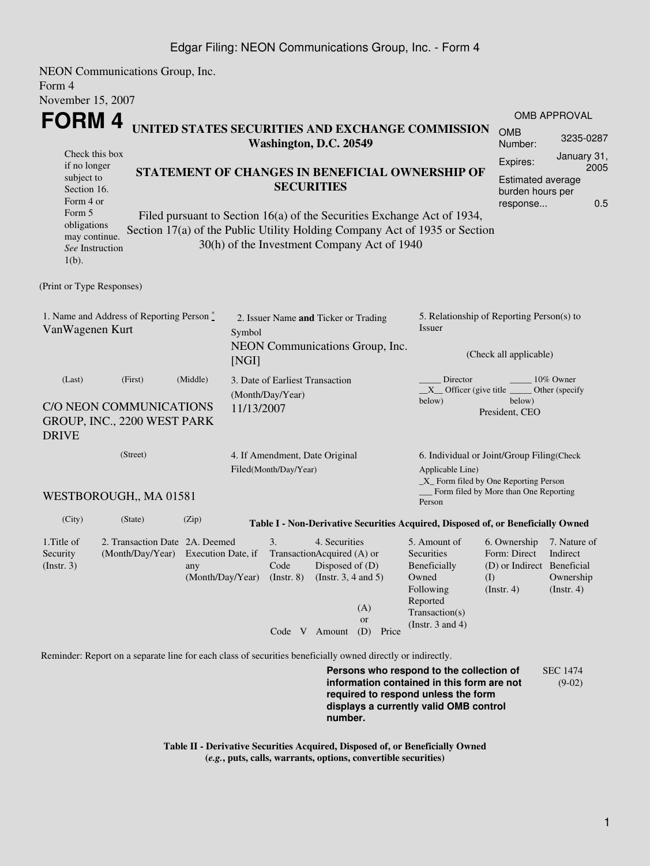NEON Communications Group, Inc. Form 4 November 15, 2007

| <b>INOVEHIDEL 15, <math>\angle 007</math></b>                                                                                                                                                                                                                                                                                                                 |                                                                      |                                                                              |                                                              |                                 |                                                                                                                         |                                                                                                                                                            | <b>OMB APPROVAL</b>                                       |  |  |  |
|---------------------------------------------------------------------------------------------------------------------------------------------------------------------------------------------------------------------------------------------------------------------------------------------------------------------------------------------------------------|----------------------------------------------------------------------|------------------------------------------------------------------------------|--------------------------------------------------------------|---------------------------------|-------------------------------------------------------------------------------------------------------------------------|------------------------------------------------------------------------------------------------------------------------------------------------------------|-----------------------------------------------------------|--|--|--|
| FORM 4<br>UNITED STATES SECURITIES AND EXCHANGE COMMISSION                                                                                                                                                                                                                                                                                                    | <b>OMB</b><br>Number:                                                | 3235-0287                                                                    |                                                              |                                 |                                                                                                                         |                                                                                                                                                            |                                                           |  |  |  |
| Check this box<br>if no longer<br>STATEMENT OF CHANGES IN BENEFICIAL OWNERSHIP OF<br>subject to<br>Section 16.<br>Form 4 or<br>Form 5<br>Filed pursuant to Section 16(a) of the Securities Exchange Act of 1934,<br>obligations<br>Section 17(a) of the Public Utility Holding Company Act of 1935 or Section<br>may continue.<br>See Instruction<br>$1(b)$ . | Expires:<br><b>Estimated average</b><br>burden hours per<br>response | January 31,<br>2005<br>0.5                                                   |                                                              |                                 |                                                                                                                         |                                                                                                                                                            |                                                           |  |  |  |
| (Print or Type Responses)                                                                                                                                                                                                                                                                                                                                     |                                                                      |                                                                              |                                                              |                                 |                                                                                                                         |                                                                                                                                                            |                                                           |  |  |  |
| 1. Name and Address of Reporting Person *<br>VanWagenen Kurt                                                                                                                                                                                                                                                                                                  | Symbol<br>[NGI]                                                      | 2. Issuer Name and Ticker or Trading                                         |                                                              | NEON Communications Group, Inc. | 5. Relationship of Reporting Person(s) to<br>Issuer<br>(Check all applicable)                                           |                                                                                                                                                            |                                                           |  |  |  |
| (Last)<br>(First)<br>C/O NEON COMMUNICATIONS<br>GROUP, INC., 2200 WEST PARK<br><b>DRIVE</b>                                                                                                                                                                                                                                                                   | (Middle)<br>11/13/2007                                               | 3. Date of Earliest Transaction<br>(Month/Day/Year)                          |                                                              |                                 | Director<br>10% Owner<br>$X$ Officer (give title $\frac{X}{X}$<br>Other (specify<br>below)<br>below)<br>President, CEO  |                                                                                                                                                            |                                                           |  |  |  |
| (Street)<br>WESTBOROUGH,, MA 01581                                                                                                                                                                                                                                                                                                                            | 4. If Amendment, Date Original<br>Filed(Month/Day/Year)              |                                                                              |                                                              |                                 |                                                                                                                         | 6. Individual or Joint/Group Filing(Check<br>Applicable Line)<br>_X_ Form filed by One Reporting Person<br>Form filed by More than One Reporting<br>Person |                                                           |  |  |  |
| (City)<br>(State)                                                                                                                                                                                                                                                                                                                                             | (Zip)                                                                |                                                                              |                                                              |                                 | Table I - Non-Derivative Securities Acquired, Disposed of, or Beneficially Owned                                        |                                                                                                                                                            |                                                           |  |  |  |
| 2. Transaction Date 2A. Deemed<br>1. Title of<br>(Month/Day/Year)<br>Security<br>(Insert. 3)                                                                                                                                                                                                                                                                  | Execution Date, if<br>any<br>(Month/Day/Year)                        | 3.<br>TransactionAcquired (A) or<br>Code<br>$($ Instr. $8)$<br>Code V Amount | 4. Securities<br>Disposed of (D)<br>(Instr. $3, 4$ and $5$ ) | (A)<br><b>or</b><br>(D) Price   | 5. Amount of<br>Securities<br>Beneficially<br>Owned<br>Following<br>Reported<br>Transaction(s)<br>(Instr. $3$ and $4$ ) | 6. Ownership<br>Form: Direct<br>(D) or Indirect Beneficial<br>(1)<br>$($ Instr. 4 $)$                                                                      | 7. Nature of<br>Indirect<br>Ownership<br>$($ Instr. 4 $)$ |  |  |  |
| Reminder: Report on a separate line for each class of securities beneficially owned directly or indirectly.                                                                                                                                                                                                                                                   |                                                                      |                                                                              |                                                              |                                 | Persons who respond to the collection of                                                                                |                                                                                                                                                            | <b>SEC 1474</b>                                           |  |  |  |

**information contained in this form are not required to respond unless the form displays a currently valid OMB control number.**

(9-02)

**Table II - Derivative Securities Acquired, Disposed of, or Beneficially Owned (***e.g.***, puts, calls, warrants, options, convertible securities)**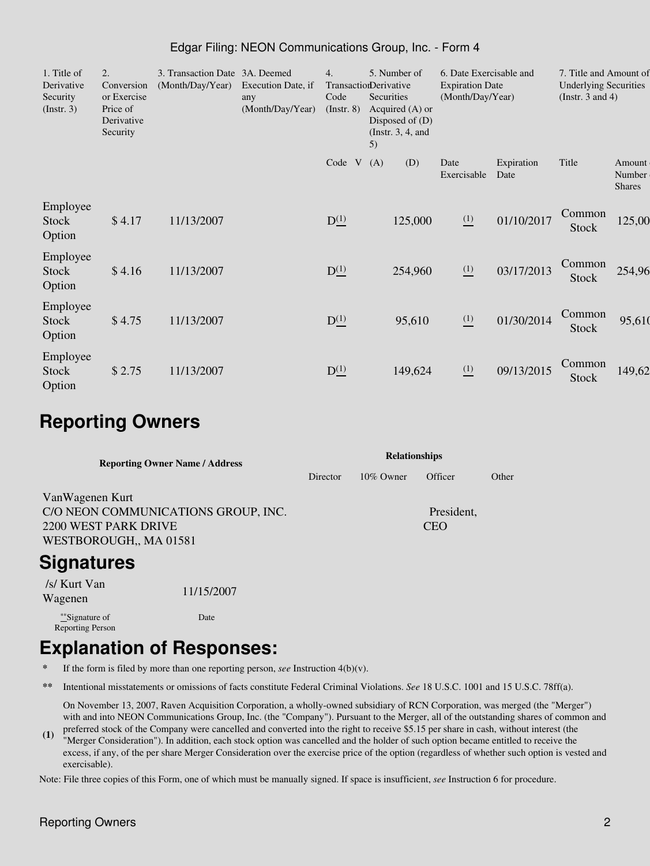| 1. Title of<br>Derivative<br>Security<br>$($ Instr. 3 $)$ | 2.<br>Conversion<br>or Exercise<br>Price of<br>Derivative<br>Security | 3. Transaction Date 3A. Deemed<br>(Month/Day/Year) | Execution Date, if<br>any<br>(Month/Day/Year) | 4.<br>Code<br>$($ Instr. $8)$ | 5. Number of<br>TransactionDerivative<br>Securities<br>Acquired $(A)$ or<br>Disposed of $(D)$<br>(Instr. $3, 4$ , and<br>5) | 6. Date Exercisable and<br>7. Title and Amount of<br><b>Underlying Securities</b><br><b>Expiration Date</b><br>(Month/Day/Year)<br>(Instr. $3$ and $4$ ) |                    |                        |                                   |
|-----------------------------------------------------------|-----------------------------------------------------------------------|----------------------------------------------------|-----------------------------------------------|-------------------------------|-----------------------------------------------------------------------------------------------------------------------------|----------------------------------------------------------------------------------------------------------------------------------------------------------|--------------------|------------------------|-----------------------------------|
|                                                           |                                                                       |                                                    |                                               | Code<br>V                     | (A)<br>(D)                                                                                                                  | Date<br>Exercisable                                                                                                                                      | Expiration<br>Date | Title                  | Amount<br>Number<br><b>Shares</b> |
| Employee<br><b>Stock</b><br>Option                        | \$4.17                                                                | 11/13/2007                                         |                                               | $D_{-}^{(1)}$                 | 125,000                                                                                                                     | $\frac{(1)}{2}$                                                                                                                                          | 01/10/2017         | Common<br>Stock        | 125,00                            |
| Employee<br><b>Stock</b><br>Option                        | \$4.16                                                                | 11/13/2007                                         |                                               | $D_{-}^{(1)}$                 | 254,960                                                                                                                     | $\frac{(1)}{2}$                                                                                                                                          | 03/17/2013         | Common<br>Stock        | 254,96                            |
| Employee<br><b>Stock</b><br>Option                        | \$4.75                                                                | 11/13/2007                                         |                                               | $D_{-}^{(1)}$                 | 95,610                                                                                                                      | $\frac{(1)}{2}$                                                                                                                                          | 01/30/2014         | Common<br><b>Stock</b> | 95,610                            |
| Employee<br><b>Stock</b><br>Option                        | \$2.75                                                                | 11/13/2007                                         |                                               | $D_{-}^{(1)}$                 | 149,624                                                                                                                     | $\frac{(1)}{2}$                                                                                                                                          | 09/13/2015         | Common<br>Stock        | 149,62                            |

#### Edgar Filing: NEON Communications Group, Inc. - Form 4

### **Reporting Owners**

| <b>Reporting Owner Name / Address</b> | <b>Relationships</b> |              |            |       |  |  |
|---------------------------------------|----------------------|--------------|------------|-------|--|--|
|                                       | Director             | $10\%$ Owner | Officer    | Other |  |  |
| VanWagenen Kurt                       |                      |              |            |       |  |  |
| C/O NEON COMMUNICATIONS GROUP, INC.   |                      |              | President, |       |  |  |
| 2200 WEST PARK DRIVE                  |                      |              | <b>CEO</b> |       |  |  |
| WESTBOROUGH,, MA 01581                |                      |              |            |       |  |  |

# **Signatures**

 /s/ Kurt Van Wagenen 11/15/2007

\*\*Signature of Reporting Person Date

# **Explanation of Responses:**

- **\*** If the form is filed by more than one reporting person, *see* Instruction 4(b)(v).
- **\*\*** Intentional misstatements or omissions of facts constitute Federal Criminal Violations. *See* 18 U.S.C. 1001 and 15 U.S.C. 78ff(a).

On November 13, 2007, Raven Acquisition Corporation, a wholly-owned subsidiary of RCN Corporation, was merged (the "Merger") with and into NEON Communications Group, Inc. (the "Company"). Pursuant to the Merger, all of the outstanding shares of common and

**(1)** preferred stock of the Company were cancelled and converted into the right to receive \$5.15 per share in cash, without interest (the "Merger Consideration"). In addition, each stock option was cancelled and the holder of such option became entitled to receive the excess, if any, of the per share Merger Consideration over the exercise price of the option (regardless of whether such option is vested and exercisable).

Note: File three copies of this Form, one of which must be manually signed. If space is insufficient, *see* Instruction 6 for procedure.